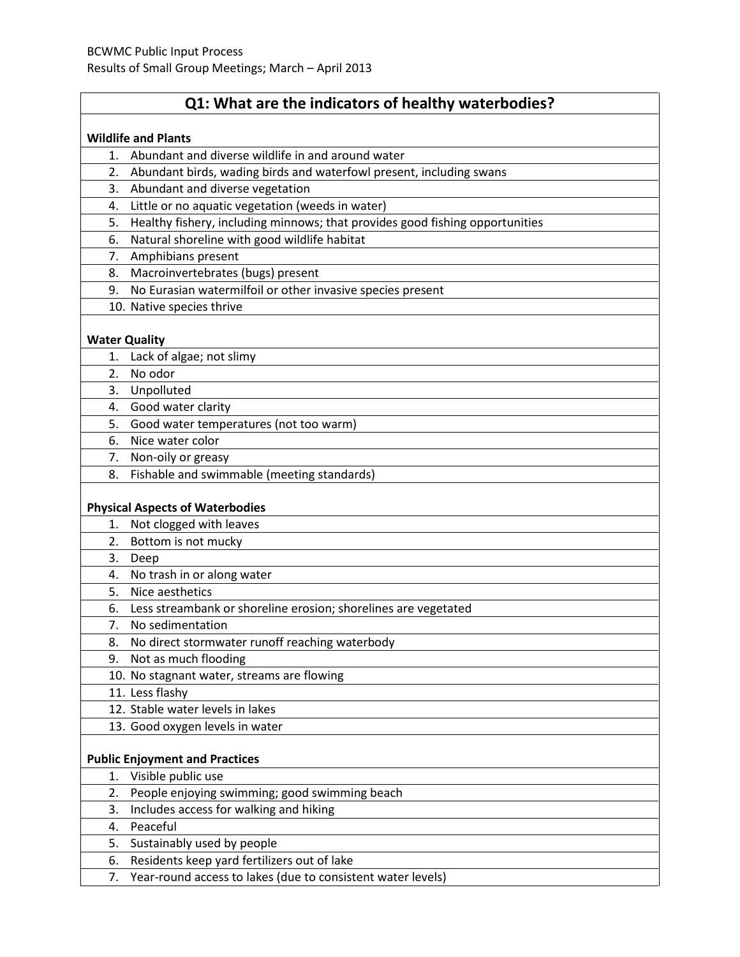# **Q1: What are the indicators of healthy waterbodies?**

| <b>Wildlife and Plants</b> |                                                                              |  |  |  |  |  |
|----------------------------|------------------------------------------------------------------------------|--|--|--|--|--|
| 1.                         | Abundant and diverse wildlife in and around water                            |  |  |  |  |  |
| 2.                         | Abundant birds, wading birds and waterfowl present, including swans          |  |  |  |  |  |
| 3.                         | Abundant and diverse vegetation                                              |  |  |  |  |  |
| 4.                         | Little or no aquatic vegetation (weeds in water)                             |  |  |  |  |  |
| 5.                         | Healthy fishery, including minnows; that provides good fishing opportunities |  |  |  |  |  |
| 6.                         | Natural shoreline with good wildlife habitat                                 |  |  |  |  |  |
| 7.                         | Amphibians present                                                           |  |  |  |  |  |
| 8.                         | Macroinvertebrates (bugs) present                                            |  |  |  |  |  |
| 9.                         | No Eurasian watermilfoil or other invasive species present                   |  |  |  |  |  |
|                            | 10. Native species thrive                                                    |  |  |  |  |  |
| <b>Water Quality</b>       |                                                                              |  |  |  |  |  |
| 1.                         | Lack of algae; not slimy                                                     |  |  |  |  |  |
| 2.                         | No odor                                                                      |  |  |  |  |  |
| 3.                         | Unpolluted                                                                   |  |  |  |  |  |
|                            | 4. Good water clarity                                                        |  |  |  |  |  |
| 5.                         | Good water temperatures (not too warm)                                       |  |  |  |  |  |
| 6.                         | Nice water color                                                             |  |  |  |  |  |
| 7.                         | Non-oily or greasy                                                           |  |  |  |  |  |
| 8.                         | Fishable and swimmable (meeting standards)                                   |  |  |  |  |  |
|                            | <b>Physical Aspects of Waterbodies</b>                                       |  |  |  |  |  |
| 1.                         | Not clogged with leaves                                                      |  |  |  |  |  |
| 2.                         | Bottom is not mucky                                                          |  |  |  |  |  |
| 3.                         | Deep                                                                         |  |  |  |  |  |
| 4.                         | No trash in or along water                                                   |  |  |  |  |  |
| 5.                         | Nice aesthetics                                                              |  |  |  |  |  |
| 6.                         | Less streambank or shoreline erosion; shorelines are vegetated               |  |  |  |  |  |
| 7.                         | No sedimentation                                                             |  |  |  |  |  |
| 8.                         | No direct stormwater runoff reaching waterbody                               |  |  |  |  |  |
| 9.                         | Not as much flooding                                                         |  |  |  |  |  |
|                            | 10. No stagnant water, streams are flowing                                   |  |  |  |  |  |
|                            | 11. Less flashy                                                              |  |  |  |  |  |
|                            | 12. Stable water levels in lakes                                             |  |  |  |  |  |
|                            | 13. Good oxygen levels in water                                              |  |  |  |  |  |
|                            | <b>Public Enjoyment and Practices</b>                                        |  |  |  |  |  |
| 1.                         | Visible public use                                                           |  |  |  |  |  |
| 2.                         | People enjoying swimming; good swimming beach                                |  |  |  |  |  |
| 3.                         | Includes access for walking and hiking                                       |  |  |  |  |  |
| 4.                         | Peaceful                                                                     |  |  |  |  |  |
| 5.                         | Sustainably used by people                                                   |  |  |  |  |  |
| 6.                         | Residents keep yard fertilizers out of lake                                  |  |  |  |  |  |
| 7.                         | Year-round access to lakes (due to consistent water levels)                  |  |  |  |  |  |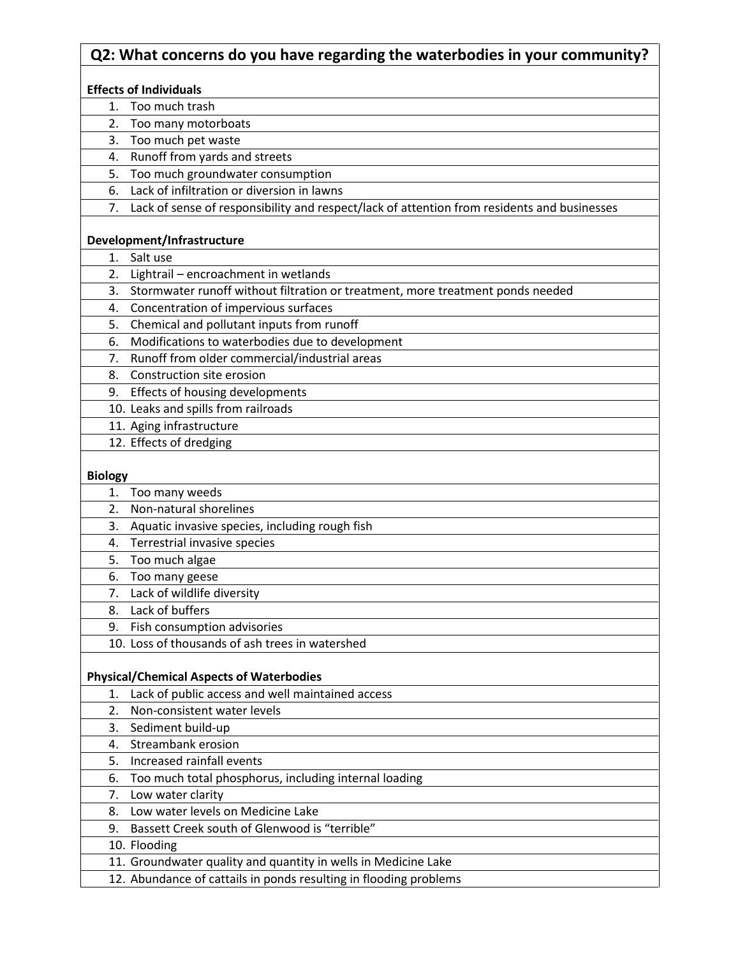### **Q2: What concerns do you have regarding the waterbodies in your community?**

#### **Effects of Individuals**

1. Too much trash

2. Too many motorboats

- 3. Too much pet waste
- 4. Runoff from yards and streets
- 5. Too much groundwater consumption
- 6. Lack of infiltration or diversion in lawns
	- 7. Lack of sense of responsibility and respect/lack of attention from residents and businesses

#### **Development/Infrastructure**

- 1. Salt use
- 2. Lightrail encroachment in wetlands
- 3. Stormwater runoff without filtration or treatment, more treatment ponds needed
- 4. Concentration of impervious surfaces
- 5. Chemical and pollutant inputs from runoff
- 6. Modifications to waterbodies due to development
- 7. Runoff from older commercial/industrial areas
- 8. Construction site erosion
- 9. Effects of housing developments
- 10. Leaks and spills from railroads
- 11. Aging infrastructure
- 12. Effects of dredging

#### **Biology**

| Too many weeds<br>1.                                              |  |
|-------------------------------------------------------------------|--|
| 2.<br>Non-natural shorelines                                      |  |
| 3.<br>Aquatic invasive species, including rough fish              |  |
| Terrestrial invasive species<br>4.                                |  |
| Too much algae<br>5.                                              |  |
| Too many geese<br>6.                                              |  |
| Lack of wildlife diversity<br>7.                                  |  |
| Lack of buffers<br>8.                                             |  |
| Fish consumption advisories<br>9.                                 |  |
| 10. Loss of thousands of ash trees in watershed                   |  |
| <b>Physical/Chemical Aspects of Waterbodies</b>                   |  |
| Lack of public access and well maintained access<br>1.            |  |
| Non-consistent water levels<br>2.                                 |  |
| 3.<br>Sediment build-up                                           |  |
| Streambank erosion<br>4.                                          |  |
| Increased rainfall events<br>5.                                   |  |
| Too much total phosphorus, including internal loading<br>6.       |  |
| Low water clarity<br>7.                                           |  |
| Low water levels on Medicine Lake<br>8.                           |  |
| Bassett Creek south of Glenwood is "terrible"<br>9.               |  |
| 10. Flooding                                                      |  |
| 11. Groundwater quality and quantity in wells in Medicine Lake    |  |
| 12. Abundance of cattails in ponds resulting in flooding problems |  |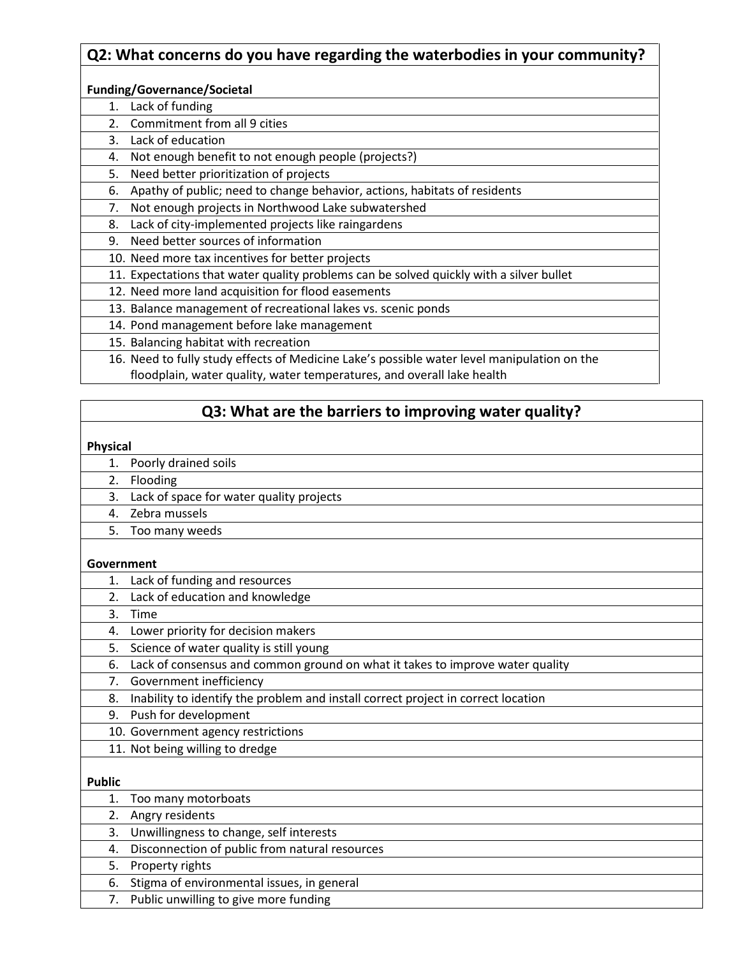# **Q2: What concerns do you have regarding the waterbodies in your community?**

#### **Funding/Governance/Societal**

- 1. Lack of funding
- 2. Commitment from all 9 cities
- 3. Lack of education
- 4. Not enough benefit to not enough people (projects?)
- 5. Need better prioritization of projects
- 6. Apathy of public; need to change behavior, actions, habitats of residents
- 7. Not enough projects in Northwood Lake subwatershed
- 8. Lack of city-implemented projects like raingardens
- 9. Need better sources of information
- 10. Need more tax incentives for better projects
- 11. Expectations that water quality problems can be solved quickly with a silver bullet
- 12. Need more land acquisition for flood easements
- 13. Balance management of recreational lakes vs. scenic ponds
- 14. Pond management before lake management
- 15. Balancing habitat with recreation
- 16. Need to fully study effects of Medicine Lake's possible water level manipulation on the floodplain, water quality, water temperatures, and overall lake health

## **Q3: What are the barriers to improving water quality?**

#### **Physical**

- 1. Poorly drained soils
- 2. Flooding
- 3. Lack of space for water quality projects
- 4. Zebra mussels
- 5. Too many weeds

#### **Government**

- 1. Lack of funding and resources
- 2. Lack of education and knowledge
- 3. Time
- 4. Lower priority for decision makers
- 5. Science of water quality is still young
- 6. Lack of consensus and common ground on what it takes to improve water quality
- 7. Government inefficiency
- 8. Inability to identify the problem and install correct project in correct location
- 9. Push for development
	- 10. Government agency restrictions
	- 11. Not being willing to dredge

### **Public**

| 1. Too many motorboats                            |
|---------------------------------------------------|
| 2. Angry residents                                |
| 3. Unwillingness to change, self interests        |
| 4. Disconnection of public from natural resources |
| 5. Property rights                                |
| 6. Stigma of environmental issues, in general     |
| 7. Public unwilling to give more funding          |